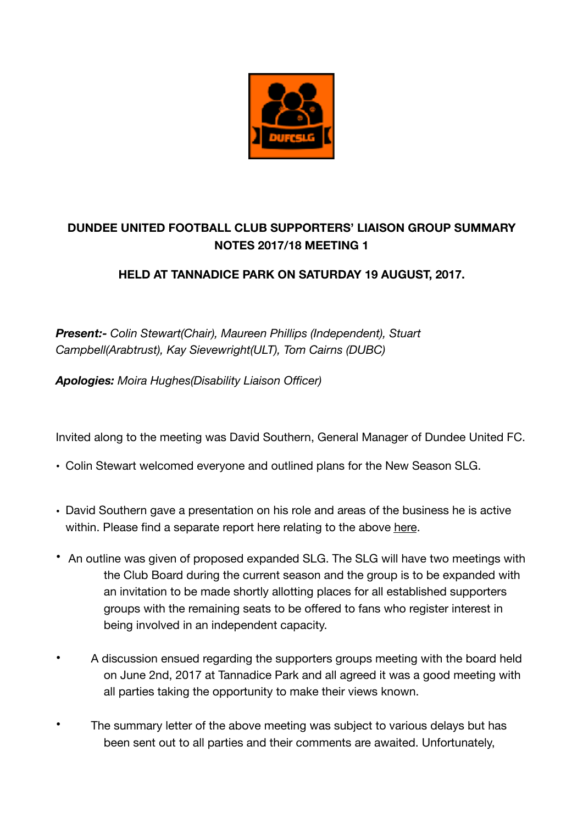

## **DUNDEE UNITED FOOTBALL CLUB SUPPORTERS' LIAISON GROUP SUMMARY NOTES 2017/18 MEETING 1**

## **HELD AT TANNADICE PARK ON SATURDAY 19 AUGUST, 2017.**

*Present:- Colin Stewart(Chair), Maureen Phillips (Independent), Stuart Campbell(Arabtrust), Kay Sievewright(ULT), Tom Cairns (DUBC)* 

*Apologies: Moira Hughes(Disability Liaison Officer)* 

Invited along to the meeting was David Southern, General Manager of Dundee United FC.

- Colin Stewart welcomed everyone and outlined plans for the New Season SLG.
- David Southern gave a presentation on his role and areas of the business he is active within. Please find a separate report [here](https://www.dundeeunitedfc.co.uk/uploads/tinymce/SLG1DAVIDSOUTHERNNOTES.pdf) relating to the above here.
- An outline was given of proposed expanded SLG. The SLG will have two meetings with the Club Board during the current season and the group is to be expanded with an invitation to be made shortly allotting places for all established supporters groups with the remaining seats to be offered to fans who register interest in being involved in an independent capacity.
- A discussion ensued regarding the supporters groups meeting with the board held on June 2nd, 2017 at Tannadice Park and all agreed it was a good meeting with all parties taking the opportunity to make their views known.
- The summary letter of the above meeting was subject to various delays but has been sent out to all parties and their comments are awaited. Unfortunately,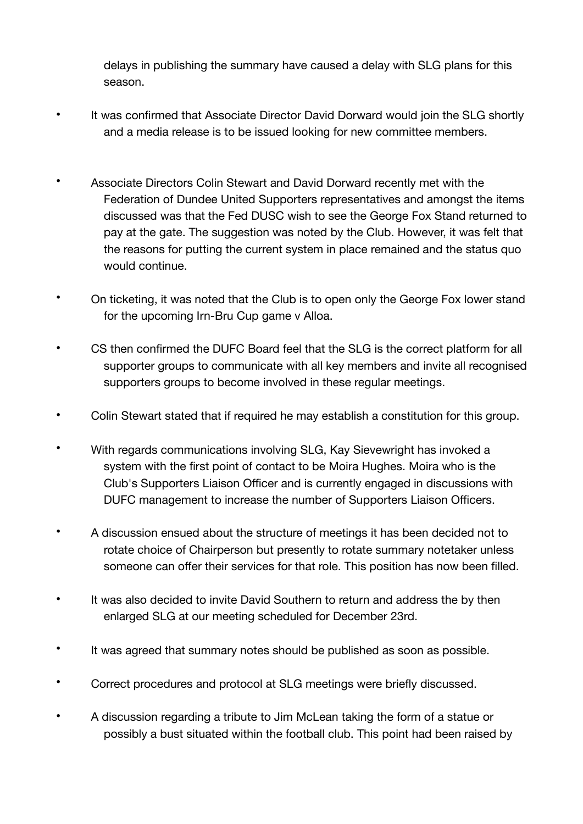delays in publishing the summary have caused a delay with SLG plans for this season.

- It was confirmed that Associate Director David Dorward would join the SLG shortly and a media release is to be issued looking for new committee members.
- Associate Directors Colin Stewart and David Dorward recently met with the Federation of Dundee United Supporters representatives and amongst the items discussed was that the Fed DUSC wish to see the George Fox Stand returned to pay at the gate. The suggestion was noted by the Club. However, it was felt that the reasons for putting the current system in place remained and the status quo would continue.
- On ticketing, it was noted that the Club is to open only the George Fox lower stand for the upcoming Irn-Bru Cup game v Alloa.
- CS then confirmed the DUFC Board feel that the SLG is the correct platform for all supporter groups to communicate with all key members and invite all recognised supporters groups to become involved in these regular meetings.
- Colin Stewart stated that if required he may establish a constitution for this group.
- With regards communications involving SLG, Kay Sievewright has invoked a system with the first point of contact to be Moira Hughes. Moira who is the Club's Supporters Liaison Officer and is currently engaged in discussions with DUFC management to increase the number of Supporters Liaison Officers.
- A discussion ensued about the structure of meetings it has been decided not to rotate choice of Chairperson but presently to rotate summary notetaker unless someone can offer their services for that role. This position has now been filled.
- It was also decided to invite David Southern to return and address the by then enlarged SLG at our meeting scheduled for December 23rd.
- It was agreed that summary notes should be published as soon as possible.
- Correct procedures and protocol at SLG meetings were briefly discussed.
- A discussion regarding a tribute to Jim McLean taking the form of a statue or possibly a bust situated within the football club. This point had been raised by